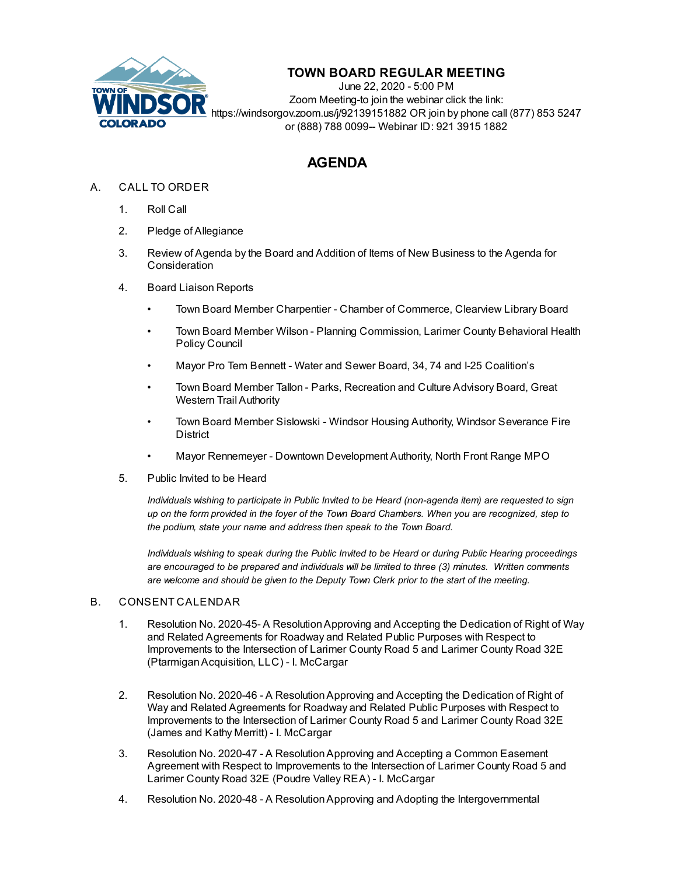

## **TOWN BOARD REGULAR MEETING**

June 22, 2020 - 5:00 PM Zoom Meeting-to join the webinar click the link: https://windsorgov.zoom.us/j/92139151882 OR join by phone call (877) 853 5247 or (888) 788 0099-- Webinar ID: 921 3915 1882

# **AGENDA**

### A. CALL TO ORDER

- 1. Roll Call
- 2. Pledge of Allegiance
- 3. Review of Agenda by the Board and Addition of Items of New Business to the Agenda for **Consideration**
- 4. Board Liaison Reports
	- Town Board Member Charpentier Chamber of Commerce, Clearview Library Board
	- Town Board Member Wilson Planning Commission, Larimer County Behavioral Health Policy Council
	- Mayor Pro Tem Bennett Water and Sewer Board, 34, 74 and I-25 Coalition's
	- Town Board Member Tallon Parks, Recreation and Culture Advisory Board, Great Western Trail Authority
	- Town Board Member Sislowski Windsor Housing Authority, Windsor Severance Fire **District**
	- Mayor Rennemeyer Downtown Development Authority, North Front Range MPO
- 5. Public Invited to be Heard

*Individuals wishing to participate in Public Invited to be Heard (non-agenda item) are requested to sign* up on the form provided in the foyer of the Town Board Chambers. When you are recognized, step to *the podium, state your name and address then speak to the Town Board.*

*Individuals wishing to speak during the Public Invited to be Heard or during Public Hearing proceedings are encouraged to be prepared and individuals will be limited to three (3) minutes. Written comments are welcome and should be given to the Deputy Town Clerk prior to the start of the meeting.*

#### B. CONSENT CALENDAR

- 1. Resolution No. 2020-45- A ResolutionApproving and Accepting the Dedication of Right of Way and Related Agreements for Roadway and Related Public Purposes with Respect to Improvements to the Intersection of Larimer County Road 5 and Larimer County Road 32E [\(PtarmiganAcquisition,](file:///C:/Windows/TEMP/CoverSheet.aspx?ItemID=920&MeetingID=137) LLC) - I. McCargar
- 2. Resolution No. 2020-46 A [ResolutionApproving](file:///C:/Windows/TEMP/CoverSheet.aspx?ItemID=921&MeetingID=137) and Accepting the Dedication of Right of Way and Related Agreements for Roadway and Related Public Purposes with Respect to Improvements to the Intersection of Larimer County Road 5 and Larimer County Road 32E (James and Kathy Merritt) - I. McCargar
- 3. Resolution No. 2020-47 A [ResolutionApproving](file:///C:/Windows/TEMP/CoverSheet.aspx?ItemID=922&MeetingID=137) and Accepting a Common Easement Agreement with Respect to Improvements to the Intersection of Larimer County Road 5 and Larimer County Road 32E (Poudre Valley REA) - I. McCargar
- 4. Resolution No. 2020-48 A ResolutionApproving and Adopting the Intergovernmental